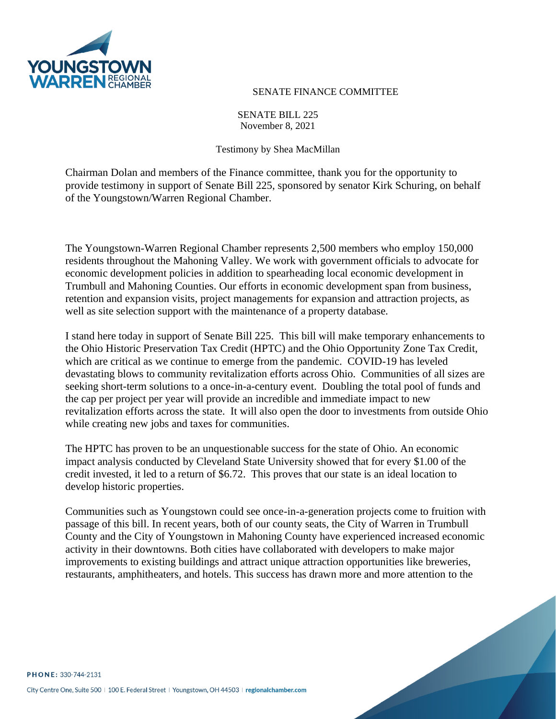

## SENATE FINANCE COMMITTEE

## SENATE BILL 225 November 8, 2021

## Testimony by Shea MacMillan

Chairman Dolan and members of the Finance committee, thank you for the opportunity to provide testimony in support of Senate Bill 225, sponsored by senator Kirk Schuring, on behalf of the Youngstown/Warren Regional Chamber.

The Youngstown-Warren Regional Chamber represents 2,500 members who employ 150,000 residents throughout the Mahoning Valley. We work with government officials to advocate for economic development policies in addition to spearheading local economic development in Trumbull and Mahoning Counties. Our efforts in economic development span from business, retention and expansion visits, project managements for expansion and attraction projects, as well as site selection support with the maintenance of a property database.

I stand here today in support of Senate Bill 225. This bill will make temporary enhancements to the Ohio Historic Preservation Tax Credit (HPTC) and the Ohio Opportunity Zone Tax Credit, which are critical as we continue to emerge from the pandemic. COVID-19 has leveled devastating blows to community revitalization efforts across Ohio. Communities of all sizes are seeking short-term solutions to a once-in-a-century event. Doubling the total pool of funds and the cap per project per year will provide an incredible and immediate impact to new revitalization efforts across the state. It will also open the door to investments from outside Ohio while creating new jobs and taxes for communities.

The HPTC has proven to be an unquestionable success for the state of Ohio. An economic impact analysis conducted by Cleveland State University showed that for every \$1.00 of the credit invested, it led to a return of \$6.72. This proves that our state is an ideal location to develop historic properties.

Communities such as Youngstown could see once-in-a-generation projects come to fruition with passage of this bill. In recent years, both of our county seats, the City of Warren in Trumbull County and the City of Youngstown in Mahoning County have experienced increased economic activity in their downtowns. Both cities have collaborated with developers to make major improvements to existing buildings and attract unique attraction opportunities like breweries, restaurants, amphitheaters, and hotels. This success has drawn more and more attention to the